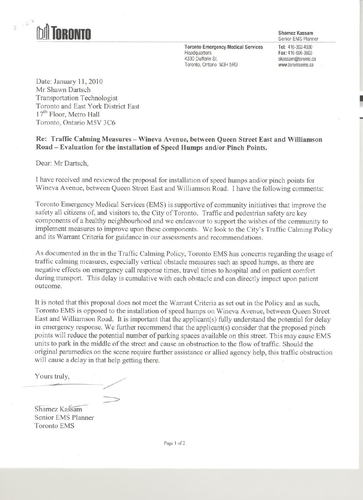

-  $\frac{1}{2}$ 

Senior EMS Planner

**Toronto Emergency Medical Services Headquarters** 4330 Dufferin St. Toronto, Ontario M3H 5R9

Tel:416-392-4930 Fax:416-696-3603 skassam@toronto.ca www.torontoems.ca

~

-

Date: January 11, 2010 Mr Shawn Dartsch Transportation Technologist Toronto and East York District East  $17<sup>th</sup>$  Floor, Metro Hall Toronto, Ontario M5V 3C6

Re: Traffic Calming Measures - Wineva Avenue, between Queen Street East and Williamson Road - Evaluation for the installation of Speed Humps and/or Pinch Points.

Dear: Mr Dartsch,

I have received and reviewed the proposal for installation of speed humps and/or pinch points for Wineva Avenue, between Queen Street East and Williamson Road. I have the following comments:

Toronto Emergency Medical Services (EMS) is supportive of community initiatives that improve the safety all citizens of, and visitors to, the City of Toronto. Traffic and pedestrian safety are key components of a healthy neighbourhood and we endeavour to support the wishes of the community to implement measures to improve upon these components. We look to the City's Traffic Calming Policy and its Warrant Criteria for guidance in our assessments and recommendations.

As documented in the in the Traffic Calming Policy, Toronto EMS has concerns regarding the usage of traffic calming measures, especially vertical obstacle measures such as speed humps, as there are negative effects on emergency call response times, travel times to hospital and on patient comfort during transport. This delay is cumulative with each obstacle and can directly impact upon patient outcome.

It is noted that this proposal does not meet the Warrant Criteria as set out in the Policy and as such, Toronto EMS is opposed to the installation of speed humps on Wineva Avenue, between Queen Street East and Williamson Road. It is important that the applicant(s) fully understand the potential for delay in emergency response. We further recommend that the applicant(s) consider that the proposed pinch points will reduce the potential number of parking spaces available on this street. This may cause EMS units to park in the middle of the street and cause an obstruction to the flow of traffic. Should the original paramedics on the scene require further assistance or allied agency help, this traffic obstruction will cause a delay in that help getting there.

Yours truly,

Shamez Kassam Senior EMS Planner **Toronto EMS** 

 $\Rightarrow$ 

Page 1 of 2